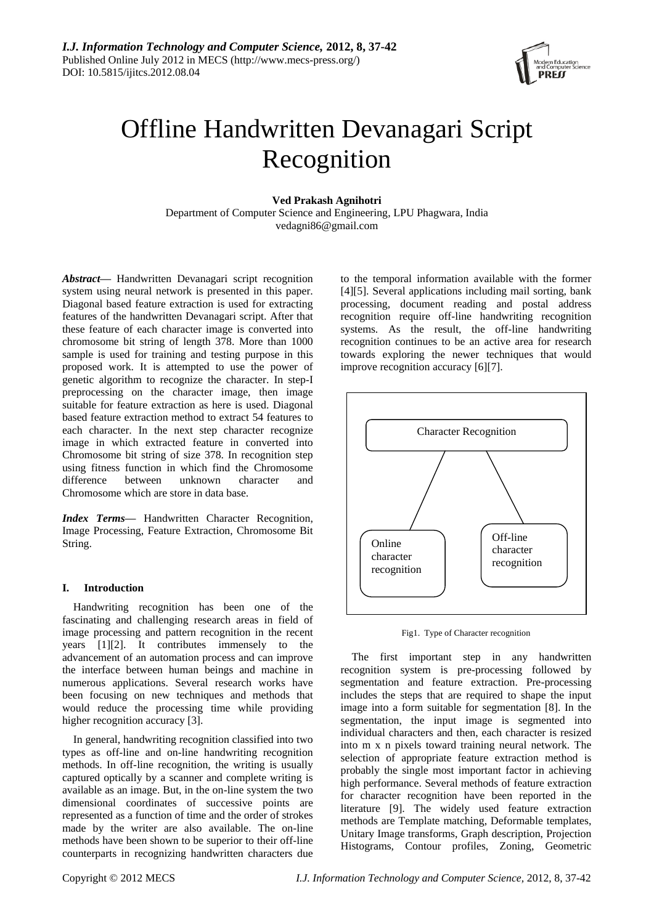

# Offline Handwritten Devanagari Script Recognition

# **Ved Prakash Agnihotri**

Department of Computer Science and Engineering, LPU Phagwara, India vedagni86@gmail.com

*Abstract—* Handwritten Devanagari script recognition system using neural network is presented in this paper. Diagonal based feature extraction is used for extracting features of the handwritten Devanagari script. After that these feature of each character image is converted into chromosome bit string of length 378. More than 1000 sample is used for training and testing purpose in this proposed work. It is attempted to use the power of genetic algorithm to recognize the character. In step-I preprocessing on the character image, then image suitable for feature extraction as here is used. Diagonal based feature extraction method to extract 54 features to each character. In the next step character recognize image in which extracted feature in converted into Chromosome bit string of size 378. In recognition step using fitness function in which find the Chromosome difference between unknown character and Chromosome which are store in data base.

*Index Terms***—** Handwritten Character Recognition, Image Processing, Feature Extraction, Chromosome Bit String.

## **I. Introduction**

Handwriting recognition has been one of the fascinating and challenging research areas in field of image processing and pattern recognition in the recent years [1][2]. It contributes immensely to the advancement of an automation process and can improve the interface between human beings and machine in numerous applications. Several research works have been focusing on new techniques and methods that would reduce the processing time while providing higher recognition accuracy [3].

In general, handwriting recognition classified into two types as off-line and on-line handwriting recognition methods. In off-line recognition, the writing is usually captured optically by a scanner and complete writing is available as an image. But, in the on-line system the two dimensional coordinates of successive points are represented as a function of time and the order of strokes made by the writer are also available. The on-line methods have been shown to be superior to their off-line counterparts in recognizing handwritten characters due

to the temporal information available with the former [4][5]. Several applications including mail sorting, bank processing, document reading and postal address recognition require off-line handwriting recognition systems. As the result, the off-line handwriting recognition continues to be an active area for research towards exploring the newer techniques that would improve recognition accuracy [6][7].



Fig1. Type of Character recognition

The first important step in any handwritten recognition system is pre-processing followed by segmentation and feature extraction. Pre-processing includes the steps that are required to shape the input image into a form suitable for segmentation [8]. In the segmentation, the input image is segmented into individual characters and then, each character is resized into m x n pixels toward training neural network. The selection of appropriate feature extraction method is probably the single most important factor in achieving high performance. Several methods of feature extraction for character recognition have been reported in the literature [9]. The widely used feature extraction methods are Template matching, Deformable templates, Unitary Image transforms, Graph description, Projection Histograms, Contour profiles, Zoning, Geometric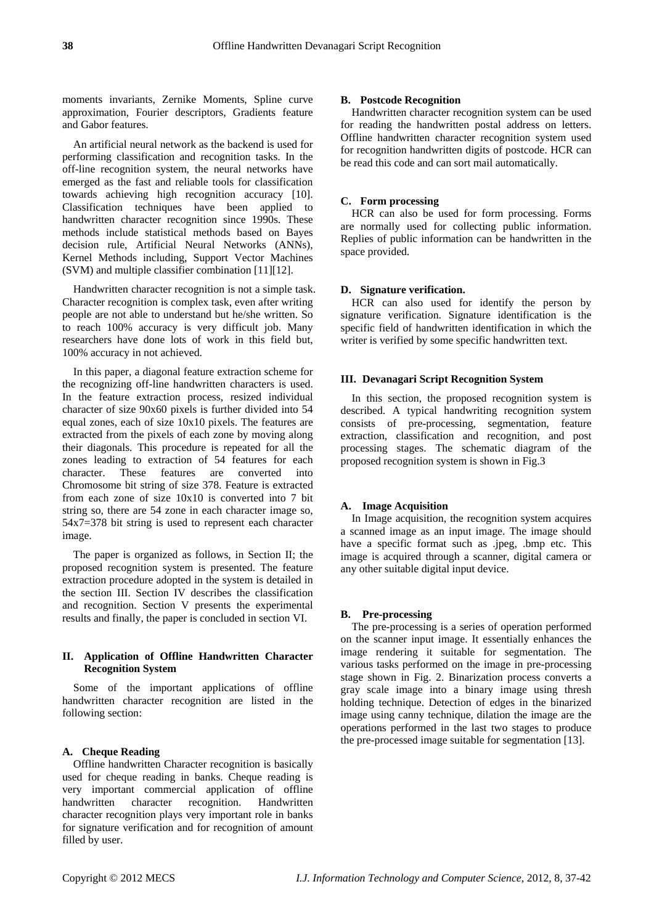moments invariants, Zernike Moments, Spline curve approximation, Fourier descriptors, Gradients feature and Gabor features.

An artificial neural network as the backend is used for performing classification and recognition tasks. In the off-line recognition system, the neural networks have emerged as the fast and reliable tools for classification towards achieving high recognition accuracy [10]. Classification techniques have been applied to handwritten character recognition since 1990s. These methods include statistical methods based on Bayes decision rule, Artificial Neural Networks (ANNs), Kernel Methods including, Support Vector Machines (SVM) and multiple classifier combination [11][12].

Handwritten character recognition is not a simple task. Character recognition is complex task, even after writing people are not able to understand but he/she written. So to reach 100% accuracy is very difficult job. Many researchers have done lots of work in this field but, 100% accuracy in not achieved.

In this paper, a diagonal feature extraction scheme for the recognizing off-line handwritten characters is used. In the feature extraction process, resized individual character of size 90x60 pixels is further divided into 54 equal zones, each of size 10x10 pixels. The features are extracted from the pixels of each zone by moving along their diagonals. This procedure is repeated for all the zones leading to extraction of 54 features for each character. These features are converted into Chromosome bit string of size 378. Feature is extracted from each zone of size 10x10 is converted into 7 bit string so, there are 54 zone in each character image so, 54x7=378 bit string is used to represent each character image.

The paper is organized as follows, in Section II; the proposed recognition system is presented. The feature extraction procedure adopted in the system is detailed in the section III. Section IV describes the classification and recognition. Section V presents the experimental results and finally, the paper is concluded in section VI.

# **II. Application of Offline Handwritten Character Recognition System**

Some of the important applications of offline handwritten character recognition are listed in the following section:

# **A. Cheque Reading**

Offline handwritten Character recognition is basically used for cheque reading in banks. Cheque reading is very important commercial application of offline handwritten character recognition. Handwritten character recognition plays very important role in banks for signature verification and for recognition of amount filled by user.

#### **B. Postcode Recognition**

Handwritten character recognition system can be used for reading the handwritten postal address on letters. Offline handwritten character recognition system used for recognition handwritten digits of postcode. HCR can be read this code and can sort mail automatically.

## **C. Form processing**

HCR can also be used for form processing. Forms are normally used for collecting public information. Replies of public information can be handwritten in the space provided.

### **D. Signature verification.**

HCR can also used for identify the person by signature verification. Signature identification is the specific field of handwritten identification in which the writer is verified by some specific handwritten text.

# **III. Devanagari Script Recognition System**

In this section, the proposed recognition system is described. A typical handwriting recognition system consists of pre-processing, segmentation, feature extraction, classification and recognition, and post processing stages. The schematic diagram of the proposed recognition system is shown in Fig.3

#### **A. Image Acquisition**

In Image acquisition, the recognition system acquires a scanned image as an input image. The image should have a specific format such as .jpeg, .bmp etc. This image is acquired through a scanner, digital camera or any other suitable digital input device.

#### **B. Pre-processing**

The pre-processing is a series of operation performed on the scanner input image. It essentially enhances the image rendering it suitable for segmentation. The various tasks performed on the image in pre-processing stage shown in Fig. 2. Binarization process converts a gray scale image into a binary image using thresh holding technique. Detection of edges in the binarized image using canny technique, dilation the image are the operations performed in the last two stages to produce the pre-processed image suitable for segmentation [13].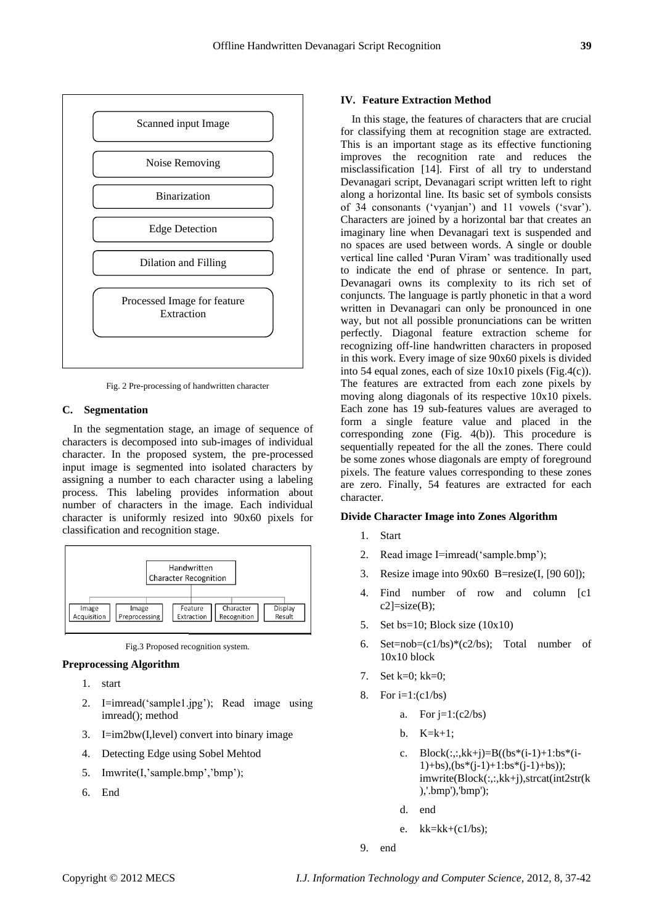

Fig. 2 Pre-processing of handwritten character

# **C. Segmentation**

In the segmentation stage, an image of sequence of characters is decomposed into sub-images of individual character. In the proposed system, the pre-processed input image is segmented into isolated characters by assigning a number to each character using a labeling process. This labeling provides information about number of characters in the image. Each individual character is uniformly resized into 90x60 pixels for classification and recognition stage.



Fig.3 Proposed recognition system.

#### **Preprocessing Algorithm**

- 1. start
- 2. I=imread('sample1.jpg'); Read image using imread(); method
- 3. I=im2bw(I,level) convert into binary image
- 4. Detecting Edge using Sobel Mehtod
- 5. Imwrite(I,'sample.bmp','bmp');
- 6. End

#### **IV. Feature Extraction Method**

In this stage, the features of characters that are crucial for classifying them at recognition stage are extracted. This is an important stage as its effective functioning improves the recognition rate and reduces the misclassification [14]. First of all try to understand Devanagari script, Devanagari script written left to right along a horizontal line. Its basic set of symbols consists of 34 consonants ('vyanjan') and 11 vowels ('svar'). Characters are joined by a horizontal bar that creates an imaginary line when Devanagari text is suspended and no spaces are used between words. A single or double vertical line called "Puran Viram" was traditionally used to indicate the end of phrase or sentence. In part, Devanagari owns its complexity to its rich set of conjuncts. The language is partly phonetic in that a word written in Devanagari can only be pronounced in one way, but not all possible pronunciations can be written perfectly. Diagonal feature extraction scheme for recognizing off-line handwritten characters in proposed in this work. Every image of size 90x60 pixels is divided into 54 equal zones, each of size 10x10 pixels (Fig.4(c)). The features are extracted from each zone pixels by moving along diagonals of its respective 10x10 pixels. Each zone has 19 sub-features values are averaged to form a single feature value and placed in the corresponding zone (Fig. 4(b)). This procedure is sequentially repeated for the all the zones. There could be some zones whose diagonals are empty of foreground pixels. The feature values corresponding to these zones are zero. Finally, 54 features are extracted for each character.

### **Divide Character Image into Zones Algorithm**

- 1. Start
- 2. Read image I=imread('sample.bmp');
- 3. Resize image into  $90x60$  B=resize(I, [90 60]);
- 4. Find number of row and column [c1  $c2$ ]=size(B);
- 5. Set bs=10; Block size (10x10)
- 6. Set=nob= $(c1/bs)*(c2/bs)$ ; Total number of 10x10 block
- 7. Set k=0; kk=0;
- 8. For  $i=1:(c1/bs)$ 
	- a. For  $j=1:(c2/bs)$
	- b.  $K=k+1$ :
	- c.  $Block(:,:,kk+j)=B((bs*(i-1)+1:b*(i-1)))$  $1)+bs$ ), $bs*(j-1)+1:bs*(j-1)+bs)$ ); imwrite(Block(:,:,kk+j),strcat(int2str(k ),'.bmp'),'bmp');
	- d. end
	- e. kk=kk+(c1/bs);
- 9. end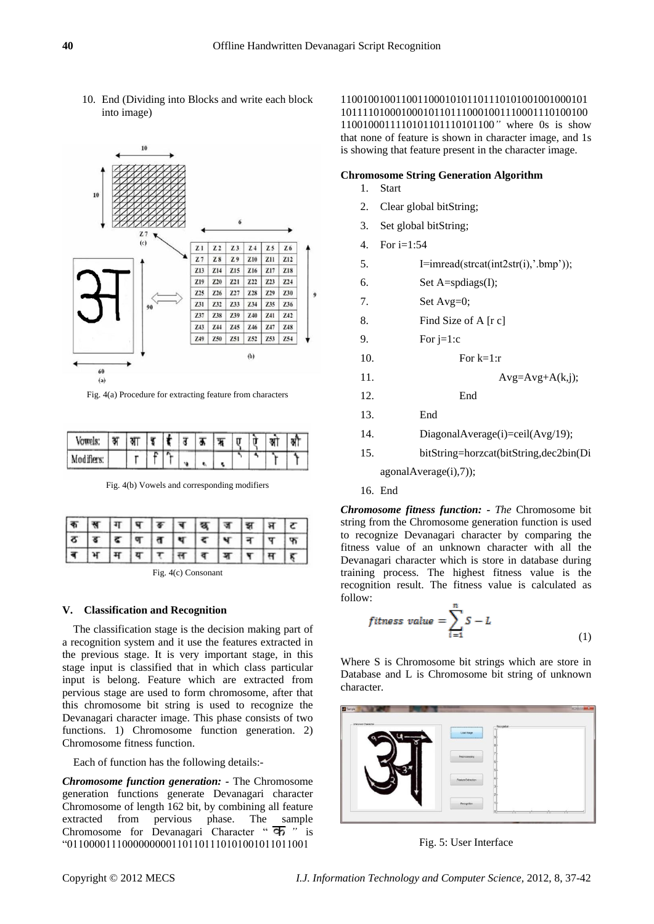10. End (Dividing into Blocks and write each block into image)



Fig. 4(a) Procedure for extracting feature from characters

| <b>Vowe</b> | ., |  |  |  | π | U | ञ्जा |  |
|-------------|----|--|--|--|---|---|------|--|
| Modifier    |    |  |  |  |   |   |      |  |

Fig. 4(b) Vowels and corresponding modifiers

|  |  |  | <u>क स्रमाप ब्रच खुज झले द</u><br>ठब्द व त प द प न प फ<br>ब भ म य र स व ज प स ह |  |  |
|--|--|--|---------------------------------------------------------------------------------|--|--|
|  |  |  |                                                                                 |  |  |

Fig. 4(c) Consonant

# **V. Classification and Recognition**

The classification stage is the decision making part of a recognition system and it use the features extracted in the previous stage. It is very important stage, in this stage input is classified that in which class particular input is belong. Feature which are extracted from pervious stage are used to form chromosome, after that this chromosome bit string is used to recognize the Devanagari character image. This phase consists of two functions. 1) Chromosome function generation. 2) Chromosome fitness function.

Each of function has the following details:-

*Chromosome function generation: -* The Chromosome generation functions generate Devanagari character Chromosome of length 162 bit, by combining all feature extracted from pervious phase. The sample Chromosome for Devanagari Character " *"* is "01100001110000000001101101110101001011011001

110010010011001100010101101110101001001000101 101111010001000101101110001001110001110100100 1100100011110101101110101100*"* where 0s is show that none of feature is shown in character image, and 1s is showing that feature present in the character image.

# **Chromosome String Generation Algorithm**

- 1. Start
- 2. Clear global bitString;
- 3. Set global bitString;
- 4. For i=1:54
- 5.  $I=imread(strcat(int2str(i),'.bmp'));$
- 6. Set A=spdiags(I);
- 7. Set Avg=0;
- 8. Find Size of A [r c]
- 9. For  $j=1:c$
- 10. For  $k=1:r$
- 11.  $Avg=Avg+A(k,j);$
- 12. End
- 13. End
- 14. DiagonalAverage(i)=ceil(Avg/19);
- 15. bitString=horzcat(bitString,dec2bin(Di

agonalAverage(i),7));

16. End

*Chromosome fitness function: - The* Chromosome bit string from the Chromosome generation function is used to recognize Devanagari character by comparing the fitness value of an unknown character with all the Devanagari character which is store in database during training process. The highest fitness value is the recognition result. The fitness value is calculated as follow:

$$
fitness \text{ value } = \sum_{i=1}^{n} S - L \tag{1}
$$

Where S is Chromosome bit strings which are store in Database and L is Chromosome bit string of unknown character.



Fig. 5: User Interface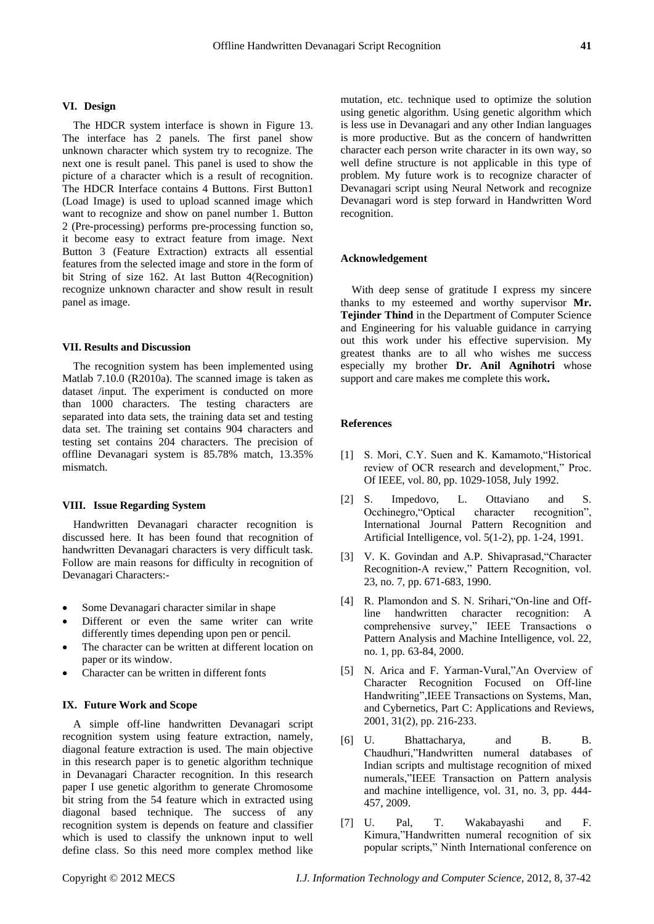#### **VI. Design**

The HDCR system interface is shown in Figure 13. The interface has 2 panels. The first panel show unknown character which system try to recognize. The next one is result panel. This panel is used to show the picture of a character which is a result of recognition. The HDCR Interface contains 4 Buttons. First Button1 (Load Image) is used to upload scanned image which want to recognize and show on panel number 1. Button 2 (Pre-processing) performs pre-processing function so, it become easy to extract feature from image. Next Button 3 (Feature Extraction) extracts all essential features from the selected image and store in the form of bit String of size 162. At last Button 4(Recognition) recognize unknown character and show result in result panel as image.

#### **VII. Results and Discussion**

The recognition system has been implemented using Matlab 7.10.0 (R2010a). The scanned image is taken as dataset /input. The experiment is conducted on more than 1000 characters. The testing characters are separated into data sets, the training data set and testing data set. The training set contains 904 characters and testing set contains 204 characters. The precision of offline Devanagari system is 85.78% match, 13.35% mismatch.

#### **VIII. Issue Regarding System**

Handwritten Devanagari character recognition is discussed here. It has been found that recognition of handwritten Devanagari characters is very difficult task. Follow are main reasons for difficulty in recognition of Devanagari Characters:-

- Some Devanagari character similar in shape
- Different or even the same writer can write differently times depending upon pen or pencil.
- The character can be written at different location on paper or its window.
- Character can be written in different fonts

## **IX. Future Work and Scope**

A simple off-line handwritten Devanagari script recognition system using feature extraction, namely, diagonal feature extraction is used. The main objective in this research paper is to genetic algorithm technique in Devanagari Character recognition. In this research paper I use genetic algorithm to generate Chromosome bit string from the 54 feature which in extracted using diagonal based technique. The success of any recognition system is depends on feature and classifier which is used to classify the unknown input to well define class. So this need more complex method like

mutation, etc. technique used to optimize the solution using genetic algorithm. Using genetic algorithm which is less use in Devanagari and any other Indian languages is more productive. But as the concern of handwritten character each person write character in its own way, so well define structure is not applicable in this type of problem. My future work is to recognize character of Devanagari script using Neural Network and recognize Devanagari word is step forward in Handwritten Word recognition.

#### **Acknowledgement**

With deep sense of gratitude I express my sincere thanks to my esteemed and worthy supervisor **Mr. Tejinder Thind** in the Department of Computer Science and Engineering for his valuable guidance in carrying out this work under his effective supervision. My greatest thanks are to all who wishes me success especially my brother **Dr. Anil Agnihotri** whose support and care makes me complete this work**.**

#### **References**

- [1] S. Mori, C.Y. Suen and K. Kamamoto, "Historical" review of OCR research and development," Proc. Of IEEE, vol. 80, pp. 1029-1058, July 1992.
- [2] S. Impedovo, L. Ottaviano and S. Occhinegro,"Optical character recognition", International Journal Pattern Recognition and Artificial Intelligence, vol. 5(1-2), pp. 1-24, 1991.
- V. K. Govindan and A.P. Shivaprasad, "Character Recognition-A review," Pattern Recognition, vol. 23, no. 7, pp. 671-683, 1990.
- [4] R. Plamondon and S. N. Srihari, "On-line and Offline handwritten character recognition: A comprehensive survey," IEEE Transactions o Pattern Analysis and Machine Intelligence, vol. 22, no. 1, pp. 63-84, 2000.
- [5] N. Arica and F. Yarman-Vural,"An Overview of Character Recognition Focused on Off-line Handwriting",IEEE Transactions on Systems, Man, and Cybernetics, Part C: Applications and Reviews, 2001, 31(2), pp. 216-233.
- [6] U. Bhattacharya, and B. B. Chaudhuri,"Handwritten numeral databases of Indian scripts and multistage recognition of mixed numerals,"IEEE Transaction on Pattern analysis and machine intelligence, vol. 31, no. 3, pp. 444- 457, 2009.
- [7] U. Pal, T. Wakabayashi and F. Kimura,"Handwritten numeral recognition of six popular scripts," Ninth International conference on